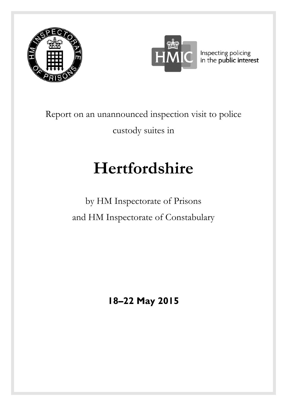



Inspecting policing in the public interest

# Report on an unannounced inspection visit to police

custody suites in

# **Hertfordshire**

by HM Inspectorate of Prisons and HM Inspectorate of Constabulary

**18–22 May 2015**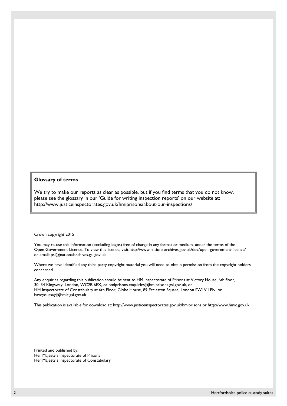#### **Glossary of terms**

We try to make our reports as clear as possible, but if you find terms that you do not know, please see the glossary in our 'Guide for writing inspection reports' on our website at: http://www.justiceinspectorates.gov.uk/hmiprisons/about-our-inspections/

#### Crown copyright 2015

You may re-use this information (excluding logos) free of charge in any format or medium, under the terms of the Open Government Licence. To view this licence, visit<http://www.nationalarchives.gov.uk/doc/open-government-licence/> or email: [psi@nationalarchives.gsi.gov.uk](mailto:psi@nationalarchives.gsi.gov.uk) 

Where we have identified any third party copyright material you will need to obtain permission from the copyright holders concerned.

Any enquiries regarding this publication should be sent to HM Inspectorate of Prisons at Victory House, 6th floor, 30–34 Kingsway, London, WC2B 6EX, or [hmiprisons.enquiries@hmiprisons.gsi.gov.uk,](mailto:hmiprisons.enquiries@hmiprisons.gsi.gov.uk) or HM Inspectorate of Constabulary at 6th Floor, Globe House, 89 Eccleston Square, London SW1V 1PN, or [haveyoursay@hmic.gsi.gov.uk](mailto:haveyoursay@hmic.gsi.gov.uk) 

This publication is available for download at: http://www.justiceinspectorates.gov.uk/hmiprisons or [http://www.hmic.gov.uk](http://www.hmic.gov.uk/) 

Printed and published by: Her Majesty's Inspectorate of Prisons Her Majesty's Inspectorate of Constabulary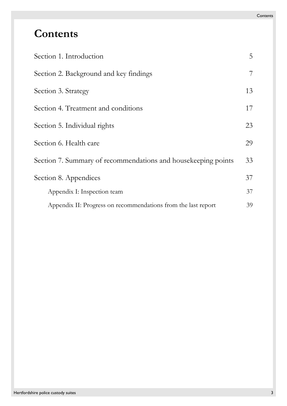# **Contents**

| Section 1. Introduction                                       | 5  |
|---------------------------------------------------------------|----|
| Section 2. Background and key findings                        | 7  |
| Section 3. Strategy                                           | 13 |
| Section 4. Treatment and conditions                           | 17 |
| Section 5. Individual rights                                  | 23 |
| Section 6. Health care                                        | 29 |
| Section 7. Summary of recommendations and housekeeping points | 33 |
| Section 8. Appendices                                         | 37 |
| Appendix I: Inspection team                                   | 37 |
| Appendix II: Progress on recommendations from the last report | 39 |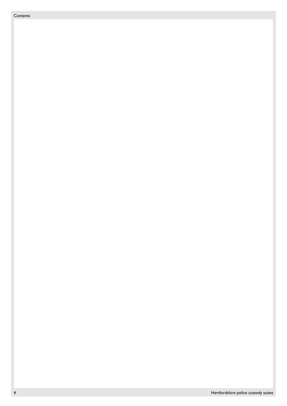#### **Contents**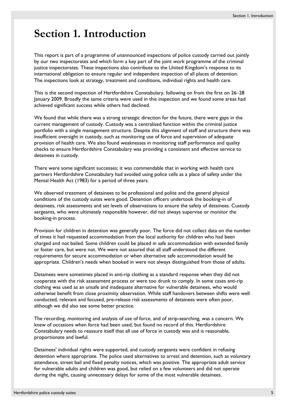# <span id="page-4-0"></span>**Section 1. Introduction**

This report is part of a programme of unannounced inspections of police custody carried out jointly by our two inspectorates and which form a key part of the joint work programme of the criminal justice inspectorates. These inspections also contribute to the United Kingdom's response to its international obligation to ensure regular and independent inspection of all places of detention. The inspections look at strategy, treatment and conditions, individual rights and health care.

This is the second inspection of Hertfordshire Constabulary, following on from the first on 26–28 January 2009. Broadly the same criteria were used in this inspection and we found some areas had achieved significant success while others had declined.

We found that while there was a strong strategic direction for the future, there were gaps in the current management of custody. Custody was a centralised function within the criminal justice portfolio with a single management structure. Despite this alignment of staff and structure there was insufficient oversight in custody, such as monitoring use of force and supervision of adequate provision of health care. We also found weaknesses in monitoring staff performance and quality checks to ensure Hertfordshire Constabulary was providing a consistent and effective service to detainees in custody.

There were some significant successes; it was commendable that in working with health care partners Hertfordshire Constabulary had avoided using police cells as a place of safety under the Mental Health Act (1983) for a period of three years.

We observed treatment of detainees to be professional and polite and the general physical conditions of the custody suites were good. Detention officers undertook the booking-in of detainees, risk assessments and set levels of observations to ensure the safety of detainees. Custody sergeants, who were ultimately responsible however, did not always supervise or monitor the booking-in process.

Provision for children in detention was generally poor. The force did not collect data on the number of times it had requested accommodation from the local authority for children who had been charged and not bailed. Some children could be placed in safe accommodation with extended family or foster care, but were not. We were not assured that all staff understood the different requirements for secure accommodation or when alternative safe accommodation would be appropriate. Children's needs when booked in were not always distinguished from those of adults.

Detainees were sometimes placed in anti-rip clothing as a standard response when they did not cooperate with the risk assessment process or were too drunk to comply. In some cases anti-rip clothing was used as an unsafe and inadequate alternative for vulnerable detainees, who would otherwise benefit from close proximity observation. While staff handovers between shifts were well conducted, relevant and focused, pre-release risk assessments of detainees were often poor, although we did also see some better practice.

The recording, monitoring and analysis of use of force, and of strip-searching, was a concern. We knew of occasions when force had been used, but found no record of this. Hertfordshire Constabulary needs to reassure itself that all use of force in custody was and is reasonable, proportionate and lawful.

Detainees' individual rights were supported, and custody sergeants were confident in refusing detention where appropriate. The police used alternatives to arrest and detention, such as voluntary attendance, street bail and fixed penalty notices, which was positive. The appropriate adult service for vulnerable adults and children was good, but relied on a few volunteers and did not operate during the night, causing unnecessary delays for some of the most vulnerable detainees.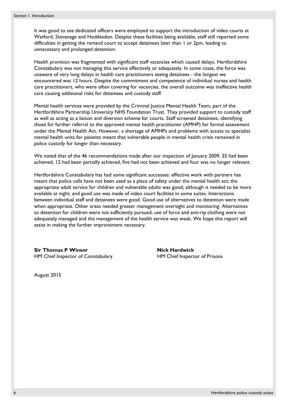It was good to see dedicated officers were employed to support the introduction of video courts at Watford, Stevenage and Hoddesdon. Despite these facilities being available, staff still reported some difficulties in getting the remand court to accept detainees later than 1 or 2pm, leading to unnecessary and prolonged detention.

Health provision was fragmented with significant staff vacancies which caused delays. Hertfordshire Constabulary was not managing this service effectively or adequately. In some cases, the force was unaware of very long delays in health care practitioners seeing detainees - the longest we encountered was 12 hours. Despite the commitment and competence of individual nurses and health care practitioners, who were often covering for vacancies, the overall outcome was ineffective health care causing additional risks for detainees and custody staff.

Mental health services were provided by the Criminal Justice Mental Health Team, part of the Hertfordshire Partnership University NHS Foundation Trust. They provided support to custody staff as well as acting as a liaison and diversion scheme for courts. Staff screened detainees, identifying those for further referral to the approved mental health practitioner (AMHP) for formal assessment under the Mental Health Act. However, a shortage of AMHPs and problems with access to specialist mental health units for patients meant that vulnerable people in mental health crisis remained in police custody for longer than necessary.

We noted that of the 46 recommendations made after our inspection of January 2009, 25 had been achieved, 12 had been partially achieved, five had not been achieved and four was no longer relevant.

Hertfordshire Constabulary has had some significant successes: effective work with partners has meant that police cells have not been used as a place of safety under the mental health act; the appropriate adult service for children and vulnerable adults was good, although it needed to be more available at night; and good use was made of video court facilities in some suites. Interactions between individual staff and detainees were good. Good use of alternatives to detention were made when appropriate. Other areas needed greater management oversight and monitoring. Alternatives to detention for children were not sufficiently pursued, use of force and anti-rip clothing were not adequately managed and the management of the health service was weak. We hope this report will assist in making the further improvement necessary.

**Sir Thomas P Winsor Nick Hardwick Nick Hardwick** HM Chief Inspector of Constabulary HM Chief Inspector of Prisons

August 2015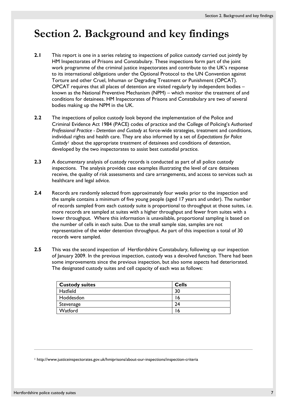# <span id="page-6-0"></span>**Section 2. Background and key findings**

- **2.1** This report is one in a series relating to inspections of police custody carried out jointly by HM Inspectorates of Prisons and Constabulary. These inspections form part of the joint work programme of the criminal justice inspectorates and contribute to the UK's response to its international obligations under the Optional Protocol to the UN Convention against Torture and other Cruel, Inhuman or Degrading Treatment or Punishment (OPCAT). OPCAT requires that all places of detention are visited regularly by independent bodies – known as the National Preventive Mechanism (NPM) – which monitor the treatment of and conditions for detainees. HM Inspectorates of Prisons and Constabulary are two of several bodies making up the NPM in the UK.
- **2.2** The inspections of police custody look beyond the implementation of the Police and Criminal Evidence Act 1984 (PACE) codes of practice and the College of Policing's *Authorised Professional Practice - Detention and Custody* at force-wide strategies, treatment and conditions, individual rights and health care. They are also informed by a set of *Expectations for Police Custody*[1](#page-6-1) about the appropriate treatment of detainees and conditions of detention, developed by the two inspectorates to assist best custodial practice.
- **2.3** A documentary analysis of custody records is conducted as part of all police custody inspections. The analysis provides case examples illustrating the level of care detainees receive, the quality of risk assessments and care arrangements, and access to services such as healthcare and legal advice.
- **2.4** Records are randomly selected from approximately four weeks prior to the inspection and the sample contains a minimum of five young people (aged 17 years and under). The number of records sampled from each custody suite is proportional to throughput at those suites, i.e. more records are sampled at suites with a higher throughput and fewer from suites with a lower throughput. Where this information is unavailable, proportional sampling is based on the number of cells in each suite. Due to the small sample size, samples are not representative of the wider detention throughput. As part of this inspection a total of 30 records were sampled.
- **2.5** This was the second inspection of Hertfordshire Constabulary, following up our inspection of January 2009. In the previous inspection, custody was a devolved function. There had been some improvements since the previous inspection, but also some aspects had deteriorated. The designated custody suites and cell capacity of each was as follows:

| <b>Custody suites</b> | <b>Cells</b> |
|-----------------------|--------------|
| Hatfield              | 30           |
| Hoddesdon             | 16           |
| Stevenage             | 24           |
| Watford               | 6            |

<span id="page-6-1"></span><sup>1</sup> <http://www.justiceinspectorates.gov.uk/hmiprisons/about-our-inspections/inspection-criteria>

 $\overline{a}$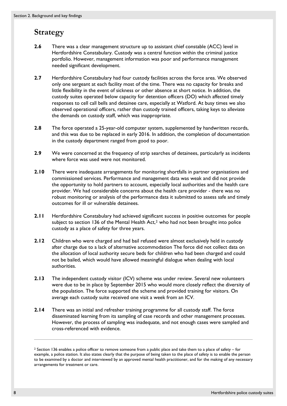# **Strategy**

- **2.6** There was a clear management structure up to assistant chief constable (ACC) level in Hertfordshire Constabulary. Custody was a central function within the criminal justice portfolio. However, management information was poor and performance management needed significant development.
- **2.7** Hertfordshire Constabulary had four custody facilities across the force area. We observed only one sergeant at each facility most of the time. There was no capacity for breaks and little flexibility in the event of sickness or other absence at short notice. In addition, the custody suites operated below capacity for detention officers (DO) which affected timely responses to cell call bells and detainee care, especially at Watford. At busy times we also observed operational officers, rather than custody trained officers, taking keys to alleviate the demands on custody staff, which was inappropriate.
- **2.8** The force operated a 25-year-old computer system, supplemented by handwritten records, and this was due to be replaced in early 2016. In addition, the completion of documentation in the custody department ranged from good to poor.
- **2.9** We were concerned at the frequency of strip searches of detainees, particularly as incidents where force was used were not monitored.
- **2.10** There were inadequate arrangements for monitoring shortfalls in partner organisations and commissioned services. Performance and management data was weak and did not provide the opportunity to hold partners to account, especially local authorities and the health care provider. We had considerable concerns about the health care provider - there was no robust monitoring or analysis of the performance data it submitted to assess safe and timely outcomes for ill or vulnerable detainees.
- **2.11** Hertfordshire Constabulary had achieved significant success in positive outcomes for people subject to section 136 of the Mental Health  $Act<sub>2</sub>$  who had not been brought into police custody as a place of safety for three years.
- **2.12** Children who were charged and had bail refused were almost exclusively held in custody after charge due to a lack of alternative accommodation The force did not collect data on the allocation of local authority secure beds for children who had been charged and could not be bailed, which would have allowed meaningful dialogue when dealing with local authorities.
- **2.13** The independent custody visitor (ICV) scheme was under review. Several new volunteers were due to be in place by September 2015 who would more closely reflect the diversity of the population. The force supported the scheme and provided training for visitors. On average each custody suite received one visit a week from an ICV.
- **2.14** There was an initial and refresher training programme for all custody staff. The force disseminated learning from its sampling of case records and other management processes. However, the process of sampling was inadequate, and not enough cases were sampled and cross-referenced with evidence.

 $\overline{a}$ 

<span id="page-7-0"></span><sup>2</sup> Section 136 enables a police officer to remove someone from a public place and take them to a place of safety – for example, a police station. It also states clearly that the purpose of being taken to the place of safety is to enable the person to be examined by a doctor and interviewed by an approved mental health practitioner, and for the making of any necessary arrangements for treatment or care.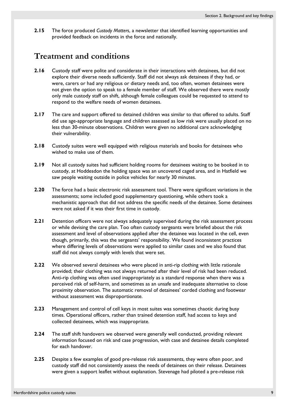**2.15** The force produced *Custody Matters*, a newsletter that identified learning opportunities and provided feedback on incidents in the force and nationally.

# **Treatment and conditions**

- **2.16** Custody staff were polite and considerate in their interactions with detainees, but did not explore their diverse needs sufficiently. Staff did not always ask detainees if they had, or were, carers or had any religious or dietary needs and, too often, women detainees were not given the option to speak to a female member of staff. We observed there were mostly only male custody staff on shift, although female colleagues could be requested to attend to respond to the welfare needs of women detainees.
- **2.17** The care and support offered to detained children was similar to that offered to adults. Staff did use age-appropriate language and children assessed as low risk were usually placed on no less than 30-minute observations. Children were given no additional care acknowledging their vulnerability.
- **2.18** Custody suites were well equipped with religious materials and books for detainees who wished to make use of them.
- **2.19** Not all custody suites had sufficient holding rooms for detainees waiting to be booked in to custody, at Hoddesdon the holding space was an uncovered caged area, and in Hatfield we saw people waiting outside in police vehicles for nearly 30 minutes.
- **2.20** The force had a basic electronic risk assessment tool. There were significant variations in the assessments; some included good supplementary questioning, while others took a mechanistic approach that did not address the specific needs of the detainee. Some detainees were not asked if it was their first time in custody.
- **2.21** Detention officers were not always adequately supervised during the risk assessment process or while devising the care plan. Too often custody sergeants were briefed about the risk assessment and level of observations applied after the detainee was located in the cell, even though, primarily, this was the sergeants' responsibility. We found inconsistent practices where differing levels of observations were applied to similar cases and we also found that staff did not always comply with levels that were set.
- **2.22** We observed several detainees who were placed in anti-rip clothing with little rationale provided; their clothing was not always returned after their level of risk had been reduced. Anti-rip clothing was often used inappropriately as a standard response when there was a perceived risk of self-harm, and sometimes as an unsafe and inadequate alternative to close proximity observation. The automatic removal of detainees' corded clothing and footwear without assessment was disproportionate.
- **2.23** Management and control of cell keys in most suites was sometimes chaotic during busy times. Operational officers, rather than trained detention staff, had access to keys and collected detainees, which was inappropriate.
- **2.24** The staff shift handovers we observed were generally well conducted, providing relevant information focused on risk and case progression, with case and detainee details completed for each handover.
- **2.25** Despite a few examples of good pre-release risk assessments, they were often poor, and custody staff did not consistently assess the needs of detainees on their release. Detainees were given a support leaflet without explanation. Stevenage had piloted a pre-release risk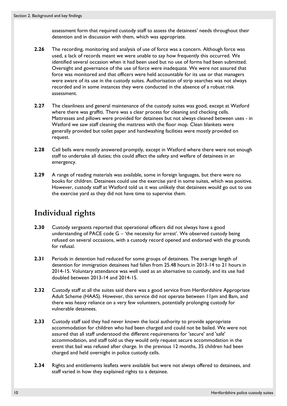assessment form that required custody staff to assess the detainees' needs throughout their detention and in discussion with them, which was appropriate.

- **2.26** The recording, monitoring and analysis of use of force was a concern. Although force was used, a lack of records meant we were unable to say how frequently this occurred. We identified several occasion when it had been used but no use of forms had been submitted. Oversight and governance of the use of force were inadequate. We were not assured that force was monitored and that officers were held accountable for its use or that managers were aware of its use in the custody suites. Authorisation of strip searches was not always recorded and in some instances they were conducted in the absence of a robust risk assessment.
- **2.27** The cleanliness and general maintenance of the custody suites was good, except at Watford where there was graffiti. There was a clear process for cleaning and checking cells. Mattresses and pillows were provided for detainees but not always cleaned between uses - in Watford we saw staff cleaning the mattress with the floor mop. Clean blankets were generally provided but toilet paper and handwashing facilities were mostly provided on request.
- **2.28** Cell bells were mostly answered promptly, except in Watford where there were not enough staff to undertake all duties; this could affect the safety and welfare of detainees in an emergency.
- **2.29** A range of reading materials was available, some in foreign languages, but there were no books for children. Detainees could use the exercise yard in some suites, which was positive. However, custody staff at Watford told us it was unlikely that detainees would go out to use the exercise yard as they did not have time to supervise them.

# **Individual rights**

- **2.30** Custody sergeants reported that operational officers did not always have a good understanding of PACE code G – 'the necessity for arrest'. We observed custody being refused on several occasions, with a custody record opened and endorsed with the grounds for refusal.
- **2.31** Periods in detention had reduced for some groups of detainees. The average length of detention for immigration detainees had fallen from 25.48 hours in 2013-14 to 21 hours in 2014-15. Voluntary attendance was well used as an alternative to custody, and its use had doubled between 2013-14 and 2014-15.
- **2.32** Custody staff at all the suites said there was a good service from Hertfordshire Appropriate Adult Scheme (HAAS). However, this service did not operate between 11pm and 8am, and there was heavy reliance on a very few volunteers, potentially prolonging custody for vulnerable detainees.
- **2.33** Custody staff said they had never known the local authority to provide appropriate accommodation for children who had been charged and could not be bailed. We were not assured that all staff understood the different requirements for 'secure' and 'safe' accommodation, and staff told us they would only request secure accommodation in the event that bail was refused after charge. In the previous 12 months, 35 children had been charged and held overnight in police custody cells.
- **2.34** Rights and entitlements leaflets were available but were not always offered to detainees, and staff varied in how they explained rights to a detainee.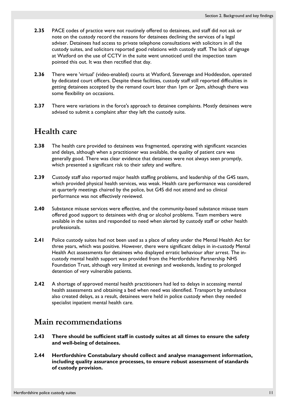- **2.35** PACE codes of practice were not routinely offered to detainees, and staff did not ask or note on the custody record the reasons for detainees declining the services of a legal adviser. Detainees had access to private telephone consultations with solicitors in all the custody suites, and solicitors reported good relations with custody staff. The lack of signage at Watford on the use of CCTV in the suite went unnoticed until the inspection team pointed this out. It was then rectified that day.
- **2.36** There were 'virtual' (video-enabled) courts at Watford, Stevenage and Hoddesdon, operated by dedicated court officers. Despite these facilities, custody staff still reported difficulties in getting detainees accepted by the remand court later than 1pm or 2pm, although there was some flexibility on occasions.
- **2.37** There were variations in the force's approach to detainee complaints. Mostly detainees were advised to submit a complaint after they left the custody suite.

# **Health care**

- **2.38** The health care provided to detainees was fragmented, operating with significant vacancies and delays, although when a practitioner was available, the quality of patient care was generally good. There was clear evidence that detainees were not always seen promptly, which presented a significant risk to their safety and welfare.
- **2.39** Custody staff also reported major health staffing problems, and leadership of the G4S team, which provided physical health services, was weak. Health care performance was considered at quarterly meetings chaired by the police, but G4S did not attend and so clinical performance was not effectively reviewed.
- **2.40** Substance misuse services were effective, and the community-based substance misuse team offered good support to detainees with drug or alcohol problems. Team members were available in the suites and responded to need when alerted by custody staff or other health professionals.
- **2.41** Police custody suites had not been used as a place of safety under the Mental Health Act for three years, which was positive. However, there were significant delays in in-custody Mental Health Act assessments for detainees who displayed erratic behaviour after arrest. The incustody mental health support was provided from the Hertfordshire Partnership NHS Foundation Trust, although very limited at evenings and weekends, leading to prolonged detention of very vulnerable patients.
- <span id="page-10-0"></span>**2.42** A shortage of approved mental health practitioners had led to delays in accessing mental health assessments and obtaining a bed when need was identified. Transport by ambulance also created delays, as a result, detainees were held in police custody when they needed specialist inpatient mental health care.

# **Main recommendations**

- <span id="page-10-2"></span>**2.43 There should be sufficient staff in custody suites at all times to ensure the safety and well-being of detainees.**
- <span id="page-10-1"></span>**2.44 Hertfordshire Constabulary should collect and analyse management information, including quality assurance processes, to ensure robust assessment of standards of custody provision.**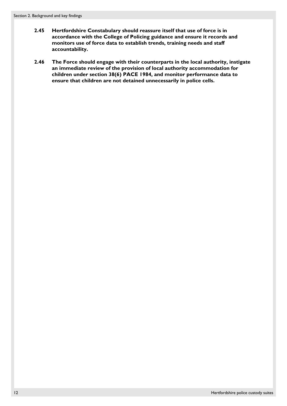- <span id="page-11-1"></span>**2.45 Hertfordshire Constabulary should reassure itself that use of force is in accordance with the College of Policing guidance and ensure it records and monitors use of force data to establish trends, training needs and staff accountability.**
- <span id="page-11-0"></span>**2.46 The Force should engage with their counterparts in the local authority, instigate an immediate review of the provision of local authority accommodation for children under section 38(6) PACE 1984, and monitor performance data to ensure that children are not detained unnecessarily in police cells.**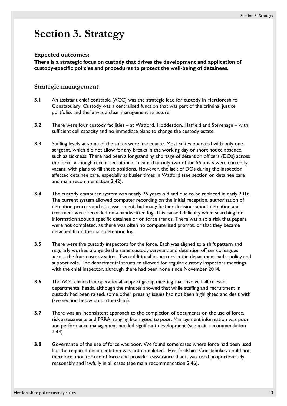# <span id="page-12-0"></span>**Section 3. Strategy**

#### **Expected outcomes:**

**There is a strategic focus on custody that drives the development and application of custody-specific policies and procedures to protect the well-being of detainees.** 

#### **Strategic management**

- **3.1** An assistant chief constable (ACC) was the strategic lead for custody in Hertfordshire Constabulary. Custody was a centralised function that was part of the criminal justice portfolio, and there was a clear management structure.
- **3.2** There were four custody facilities at Watford, Hoddesdon, Hatfield and Stevenage with sufficient cell capacity and no immediate plans to change the custody estate.
- **3.3** Staffing levels at some of the suites were inadequate. Most suites operated with only one sergeant, which did not allow for any breaks in the working day or short notice absence, such as sickness. There had been a longstanding shortage of detention officers (DOs) across the force, although recent recruitment meant that only two of the 55 posts were currently vacant, with plans to fill these positions. However, the lack of DOs during the inspection affected detainee care, especially at busier times in Watford (see section on detainee care and main recommendation [2.42\)](#page-10-0).
- **3.4** The custody computer system was nearly 25 years old and due to be replaced in early 2016. The current system allowed computer recording on the initial reception, authorisation of detention process and risk assessment, but many further decisions about detention and treatment were recorded on a handwritten log. This caused difficulty when searching for information about a specific detainee or on force trends. There was also a risk that papers were not completed, as there was often no computerised prompt, or that they became detached from the main detention log.
- **3.5** There were five custody inspectors for the force. Each was aligned to a shift pattern and regularly worked alongside the same custody sergeant and detention officer colleagues across the four custody suites. Two additional inspectors in the department had a policy and support role. The departmental structure allowed for regular custody inspectors meetings with the chief inspector, although there had been none since November 2014.
- **3.6** The ACC chaired an operational support group meeting that involved all relevant departmental heads, although the minutes showed that while staffing and recruitment in custody had been raised, some other pressing issues had not been highlighted and dealt with (see section below on partnerships).
- **3.7** There was an inconsistent approach to the completion of documents on the use of force, risk assessments and PRRA, ranging from good to poor. Management information was poor and performance management needed significant development (see main recommendation [2.44\)](#page-10-1).
- **3.8** Governance of the use of force was poor. We found some cases where force had been used but the required documentation was not completed. Hertfordshire Constabulary could not, therefore, monitor use of force and provide reassurance that it was used proportionately, reasonably and lawfully in all cases (see main recommendation [2.46\)](#page-11-0).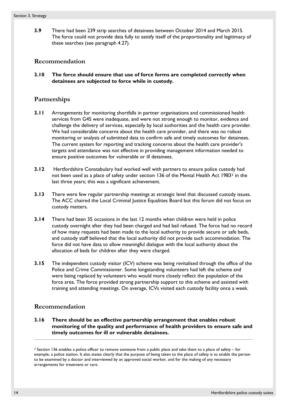**3.9** There had been 239 strip searches of detainees between October 2014 and March 2015. The force could not provide data fully to satisfy itself of the proportionality and legitimacy of these searches (see paragraph [4.27\)](#page-19-0).

#### **Recommendation**

<span id="page-13-1"></span>**3.10 The force should ensure that use of force forms are completed correctly when detainees are subjected to force while in custody.** 

#### **Partnerships**

- <span id="page-13-2"></span>**3.11** Arrangements for monitoring shortfalls in partner organisations and commissioned health services from G4S were inadequate, and were not strong enough to monitor, evidence and challenge the delivery of services, especially by local authorities and the health care provider. We had considerable concerns about the health care provider, and there was no robust monitoring or analysis of submitted data to confirm safe and timely outcomes for detainees. The current system for reporting and tracking concerns about the health care provider's targets and attendance was not effective in providing management information needed to ensure positive outcomes for vulnerable or ill detainees.
- **3.12** Hertfordshire Constabulary had worked well with partners to ensure police custody had not been used as a place of safety under section 136 of the Mental Health Act 1983[3](#page-13-0) in the last three years; this was a significant achievement.
- **3.13** There were few regular partnership meetings at strategic level that discussed custody issues. The ACC chaired the Local Criminal Justice Equalities Board but this forum did not focus on custody matters.
- **3.14** There had been 35 occasions in the last 12 months when children were held in police custody overnight after they had been charged and had bail refused. The force had no record of how many requests had been made to the local authority to provide secure or safe beds, and custody staff believed that the local authority did not provide such accommodation. The force did not have data to allow meaningful dialogue with the local authority about the allocation of beds for children after they were charged.
- **3.15** The independent custody visitor (ICV) scheme was being revitalised through the office of the Police and Crime Commissioner. Some longstanding volunteers had left the scheme and were being replaced by volunteers who would more closely reflect the population of the force area. The force provided strong partnership support to this scheme and assisted with training and attending meetings. On average, ICVs visited each custody facility once a week.

### **Recommendation**

<span id="page-13-3"></span>**3.16 There should be an effective partnership arrangement that enables robust monitoring of the quality and performance of health providers to ensure safe and timely outcomes for ill or vulnerable detainees.** 

 $\overline{a}$ 

<span id="page-13-0"></span><sup>3</sup> Section 136 enables a police officer to remove someone from a public place and take them to a place of safety – for example, a police station. It also states clearly that the purpose of being taken to the place of safety is to enable the person to be examined by a doctor and interviewed by an approved social worker, and for the making of any necessary arrangements for treatment or care.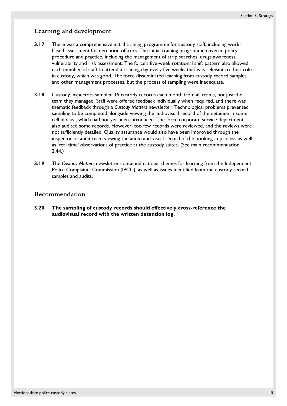#### **Learning and development**

- **3.17** There was a comprehensive initial training programme for custody staff, including workbased assessment for detention officers. The initial training programme covered policy, procedure and practice, including the management of strip searches, drugs awareness, vulnerability and risk assessment. The force's five-week rotational shift pattern also allowed each member of staff to attend a training day every five weeks that was relevant to their role in custody, which was good. The force disseminated learning from custody record samples and other management processes, but the process of sampling were inadequate.
- **3.18** Custody inspectors sampled 15 custody records each month from all teams, not just the team they managed. Staff were offered feedback individually when required, and there was thematic feedback through a *Custody Matters* newsletter. Technological problems prevented sampling to be completed alongside viewing the audiovisual record of the detainee in some cell blocks , which had not yet been introduced. The force corporate service department also audited some records. However, too few records were reviewed, and the reviews were not sufficiently detailed. Quality assurance would also have been improved through the inspector or audit team viewing the audio and visual record of the booking-in process as well as 'real time' observations of practice at the custody suites. (See main recommendation [2.44.](#page-10-1))
- **3.19** The *Custody Matters* newsletter contained national themes for learning from the Independent Police Complaints Commission (IPCC), as well as issues identified from the custody record samples and audits.

#### **Recommendation**

<span id="page-14-0"></span>**3.20 The sampling of custody records should effectively cross-reference the audiovisual record with the written detention log.**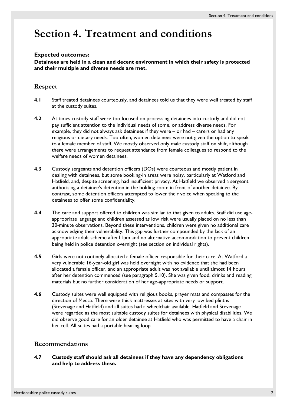# <span id="page-16-0"></span>**Section 4. Treatment and conditions**

#### **Expected outcomes:**

**Detainees are held in a clean and decent environment in which their safety is protected and their multiple and diverse needs are met.** 

### **Respect**

- **4.1** Staff treated detainees courteously, and detainees told us that they were well treated by staff at the custody suites.
- **4.2** At times custody staff were too focused on processing detainees into custody and did not pay sufficient attention to the individual needs of some, or address diverse needs. For example, they did not always ask detainees if they were – or had – carers or had any religious or dietary needs. Too often, women detainees were not given the option to speak to a female member of staff. We mostly observed only male custody staff on shift, although there were arrangements to request attendance from female colleagues to respond to the welfare needs of women detainees.
- **4.3** Custody sergeants and detention officers (DOs) were courteous and mostly patient in dealing with detainees, but some booking-in areas were noisy, particularly at Watford and Hatfield, and, despite screening, had insufficient privacy. At Hatfield we observed a sergeant authorising a detainee's detention in the holding room in front of another detainee. By contrast, some detention officers attempted to lower their voice when speaking to the detainees to offer some confidentiality.
- **4.4** The care and support offered to children was similar to that given to adults. Staff did use ageappropriate language and children assessed as low risk were usually placed on no less than 30-minute observations. Beyond these interventions, children were given no additional care acknowledging their vulnerability. This gap was further compounded by the lack of an appropriate adult scheme after11pm and no alternative accommodation to prevent children being held in police detention overnight (see section on individual rights).
- **4.5** Girls were not routinely allocated a female officer responsible for their care. At Watford a very vulnerable 16-year-old girl was held overnight with no evidence that she had been allocated a female officer, and an appropriate adult was not available until almost 14 hours after her detention commenced (see paragraph [5.10](#page-23-0)). She was given food, drinks and reading materials but no further consideration of her age-appropriate needs or support.
- **4.6** Custody suites were well equipped with religious books, prayer mats and compasses for the direction of Mecca. There were thick mattresses at sites with very low bed plinths (Stevenage and Hatfield) and all suites had a wheelchair available. Hatfield and Stevenage were regarded as the most suitable custody suites for detainees with physical disabilities. We did observe good care for an older detainee at Hatfield who was permitted to have a chair in her cell. All suites had a portable hearing loop.

### **Recommendations**

<span id="page-16-1"></span>**4.7 Custody staff should ask all detainees if they have any dependency obligations and help to address these.**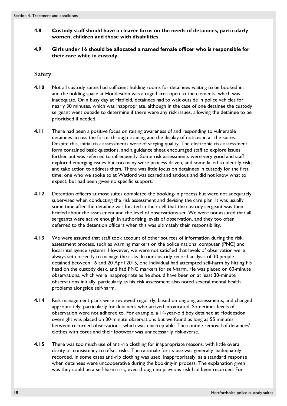- <span id="page-17-0"></span>**4.8 Custody staff should have a clearer focus on the needs of detainees, particularly women, children and those with disabilities.**
- <span id="page-17-1"></span>**4.9 Girls under 16 should be allocated a named female officer who is responsible for their care while in custody.**

### **Safety**

- **4.10** Not all custody suites had sufficient holding rooms for detainees waiting to be booked in, and the holding space at Hoddesdon was a caged area open to the elements, which was inadequate. On a busy day at Hatfield, detainees had to wait outside in police vehicles for nearly 30 minutes, which was inappropriate, although in the case of one detainee the custody sergeant went outside to determine if there were any risk issues, allowing the detainee to be prioritised if needed.
- **4.11** There had been a positive focus on raising awareness of and responding to vulnerable detainees across the force, through training and the display of notices in all the suites. Despite this, initial risk assessments were of varying quality. The electronic risk assessment form contained basic questions, and a guidance sheet encouraged staff to explore issues further but was referred to infrequently. Some risk assessments were very good and staff explored emerging issues but too many were process driven, and some failed to identify risks and take action to address them. There was little focus on detainees in custody for the first time; one who we spoke to at Watford was scared and anxious and did not know what to expect, but had been given no specific support.
- **4.12** Detention officers at most suites completed the booking-in process but were not adequately supervised when conducting the risk assessment and devising the care plan. It was usually some time after the detainee was located in their cell that the custody sergeant was then briefed about the assessment and the level of observations set. We were not assured that all sergeants were active enough in authorising levels of observation, and they too often deferred to the detention officers when this was ultimately their responsibility.
- **4.13** We were assured that staff took account of other sources of information during the risk assessment process, such as warning markers on the police national computer (PNC) and local intelligence systems. However, we were not satisfied that levels of observation were always set correctly to manage the risks. In our custody record analysis of 30 people detained between 16 and 20 April 2015, one individual had attempted self-harm by hitting his head on the custody desk, and had PNC markers for self-harm. He was placed on 60-minute observations, which were inappropriate as he should have been on at least 30-minute observations initially, particularly as his risk assessment also noted several mental health problems alongside self-harm.
- **4.14** Risk management plans were reviewed regularly, based on ongoing assessments, and changed appropriately, particularly for detainees who arrived intoxicated. Sometimes levels of observation were not adhered to. For example, a 14-year-old boy detained at Hoddesdon overnight was placed on 30-minute observations but we found as long as 55 minutes between recorded observations, which was unacceptable. The routine removal of detainees' clothes with cords and their footwear was unnecessarily risk-averse.
- **4.15** There was too much use of anti-rip clothing for inappropriate reasons, with little overall clarity or consistency to offset risks. The rationale for its use was generally inadequately recorded. In some cases anti-rip clothing was used, inappropriately, as a standard response when detainees were uncooperative during the booking-in process. The explanation given was they could be a self-harm risk, even though no previous risk had been recorded. For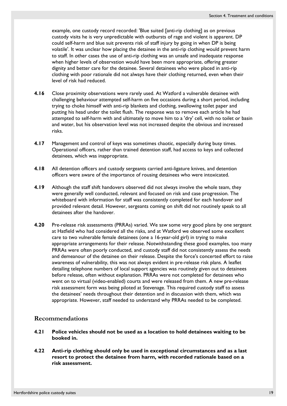example, one custody record recorded: 'Blue suited [anti-rip clothing] as on previous custody visits he is very unpredictable with outbursts of rage and violent is apparent. DP could self-harm and blue suit prevents risk of staff injury by going in when DP is being volatile'. It was unclear how placing the detainee in the anti-rip clothing would prevent harm to staff. In other cases the use of anti-rip clothing was an unsafe and inadequate response when higher levels of observation would have been more appropriate, offering greater dignity and better care for the detainee. Several detainees who were placed in anti-rip clothing with poor rationale did not always have their clothing returned, even when their level of risk had reduced.

- **4.16** Close proximity observations were rarely used. At Watford a vulnerable detainee with challenging behaviour attempted self-harm on five occasions during a short period, including trying to choke himself with anti-rip blankets and clothing, swallowing toilet paper and putting his head under the toilet flush. The response was to remove each article he had attempted to self-harm with and ultimately to move him to a 'dry' cell, with no toilet or basin and water, but his observation level was not increased despite the obvious and increased risks.
- **4.17** Management and control of keys was sometimes chaotic, especially during busy times. Operational officers, rather than trained detention staff, had access to keys and collected detainees, which was inappropriate.
- **4.18** All detention officers and custody sergeants carried anti-ligature knives, and detention officers were aware of the importance of rousing detainees who were intoxicated.
- **4.19** Although the staff shift handovers observed did not always involve the whole team, they were generally well conducted, relevant and focused on risk and case progression. The whiteboard with information for staff was consistently completed for each handover and provided relevant detail. However, sergeants coming on shift did not routinely speak to all detainees after the handover.
- **4.20** Pre-release risk assessments (PRRAs) varied. We saw some very good plans by one sergeant at Hatfield who had considered all the risks, and at Watford we observed some excellent care to two vulnerable female detainees (one a 16-year-old girl) in trying to make appropriate arrangements for their release. Notwithstanding these good examples, too many PRRAs were often poorly conducted, and custody staff did not consistently assess the needs and demeanour of the detainee on their release. Despite the force's concerted effort to raise awareness of vulnerability, this was not always evident in pre-release risk plans. A leaflet detailing telephone numbers of local support agencies was routinely given out to detainees before release, often without explanation. PRRAs were not completed for detainees who went on to virtual (video-enabled) courts and were released from them. A new pre-release risk assessment form was being piloted at Stevenage. This required custody staff to assess the detainees' needs throughout their detention and in discussion with them, which was appropriate. However, staff needed to understand why PRRAs needed to be completed.

### **Recommendations**

- <span id="page-18-0"></span>**4.21 Police vehicles should not be used as a location to hold detainees waiting to be booked in.**
- <span id="page-18-1"></span>**4.22 Anti-rip clothing should only be used in exceptional circumstances and as a last resort to protect the detainee from harm, with recorded rationale based on a risk assessment.**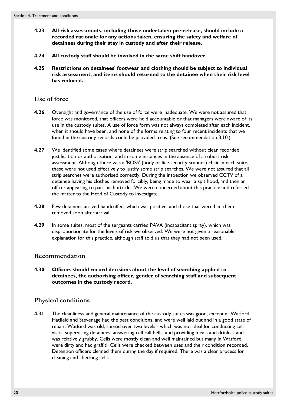- <span id="page-19-1"></span>**4.23 All risk assessments, including those undertaken pre-release, should include a recorded rationale for any actions taken, ensuring the safety and welfare of detainees during their stay in custody and after their release.**
- <span id="page-19-2"></span>**4.24 All custody staff should be involved in the same shift handover.**
- <span id="page-19-3"></span>**4.25 Restrictions on detainees' footwear and clothing should be subject to individual risk assessment, and items should returned to the detainee when their risk level has reduced.**

### **Use of force**

- **4.26** Oversight and governance of the use of force were inadequate. We were not assured that force was monitored, that officers were held accountable or that managers were aware of its use in the custody suites. A use of force form was not always completed after each incident, when it should have been, and none of the forms relating to four recent incidents that we found in the custody records could be provided to us. (See recommendation [3.10.](#page-13-1))
- <span id="page-19-0"></span>**4.27** We identified some cases where detainees were strip searched without clear recorded justification or authorisation, and in some instances in the absence of a robust risk assessment. Although there was a 'BOSS' (body orifice security scanner) chair in each suite, these were not used effectively to justify some strip searches. We were not assured that all strip searches were authorised correctly. During the inspection we observed CCTV of a detainee having his clothes removed forcibly, being made to wear a spit hood, and then an officer appearing to part his buttocks. We were concerned about this practice and referred the matter to the Head of Custody to investigate.
- **4.28** Few detainees arrived handcuffed, which was positive, and those that were had them removed soon after arrival.
- **4.29** In some suites, most of the sergeants carried PAVA (incapacitant spray), which was disproportionate for the levels of risk we observed. We were not given a reasonable explanation for this practice, although staff told us that they had not been used.

### **Recommendation**

<span id="page-19-4"></span>**4.30 Officers should record decisions about the level of searching applied to detainees, the authorising officer, gender of searching staff and subsequent outcomes in the custody record.** 

### **Physical conditions**

**4.31** The cleanliness and general maintenance of the custody suites was good, except at Watford. Hatfield and Stevenage had the best conditions, and were well laid out and in a good state of repair. Watford was old, spread over two levels - which was not ideal for conducting cell visits, supervising detainees, answering cell call bells, and providing meals and drinks - and was relatively grubby. Cells were mostly clean and well maintained but many in Watford were dirty and had graffiti. Cells were checked between uses and their condition recorded. Detention officers cleaned them during the day if required. There was a clear process for cleaning and checking cells.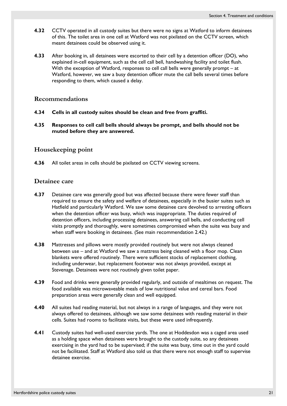- **4.32** CCTV operated in all custody suites but there were no signs at Watford to inform detainees of this. The toilet area in one cell at Watford was not pixilated on the CCTV screen, which meant detainees could be observed using it.
- **4.33** After booking in, all detainees were escorted to their cell by a detention officer (DO), who explained in-cell equipment, such as the cell call bell, handwashing facility and toilet flush. With the exception of Watford, responses to cell call bells were generally prompt – at Watford, however, we saw a busy detention officer mute the call bells several times before responding to them, which caused a delay.

#### **Recommendations**

- <span id="page-20-0"></span>**4.34 Cells in all custody suites should be clean and free from graffiti.**
- <span id="page-20-1"></span>**4.35 Responses to cell call bells should always be prompt, and bells should not be muted before they are answered.**

### **Housekeeping point**

<span id="page-20-2"></span>**4.36** All toilet areas in cells should be pixilated on CCTV viewing screens.

### **Detainee care**

- **4.37** Detainee care was generally good but was affected because there were fewer staff than required to ensure the safety and welfare of detainees, especially in the busier suites such as Hatfield and particularly Watford. We saw some detainee care devolved to arresting officers when the detention officer was busy, which was inappropriate. The duties required of detention officers, including processing detainees, answering call bells, and conducting cell visits promptly and thoroughly, were sometimes compromised when the suite was busy and when staff were booking in detainees. (See main recommendation [2.42](#page-10-0).)
- **4.38** Mattresses and pillows were mostly provided routinely but were not always cleaned between use – and at Watford we saw a mattress being cleaned with a floor mop. Clean blankets were offered routinely. There were sufficient stocks of replacement clothing, including underwear, but replacement footwear was not always provided, except at Stevenage. Detainees were not routinely given toilet paper.
- **4.39** Food and drinks were generally provided regularly, and outside of mealtimes on request. The food available was microwaveable meals of low nutritional value and cereal bars. Food preparation areas were generally clean and well equipped.
- **4.40** All suites had reading material, but not always in a range of languages, and they were not always offered to detainees, although we saw some detainees with reading material in their cells. Suites had rooms to facilitate visits, but these were used infrequently.
- **4.41** Custody suites had well-used exercise yards. The one at Hoddesdon was a caged area used as a holding space when detainees were brought to the custody suite, so any detainees exercising in the yard had to be supervised; if the suite was busy, time out in the yard could not be facilitated. Staff at Watford also told us that there were not enough staff to supervise detainee exercise.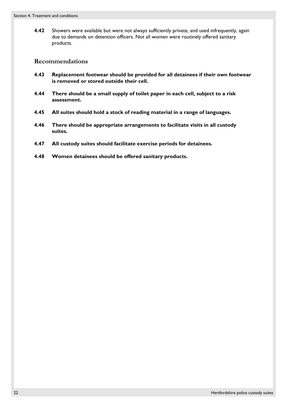**4.42** Showers were available but were not always sufficiently private, and used infrequently, again due to demands on detention officers. Not all women were routinely offered sanitary products.

#### **Recommendations**

- <span id="page-21-0"></span>**4.43 Replacement footwear should be provided for all detainees if their own footwear is removed or stored outside their cell.**
- <span id="page-21-1"></span>**4.44 There should be a small supply of toilet paper in each cell, subject to a risk assessment.**
- <span id="page-21-2"></span>**4.45 All suites should hold a stock of reading material in a range of languages.**
- <span id="page-21-3"></span>**4.46 There should be appropriate arrangements to facilitate visits in all custody suites.**
- <span id="page-21-4"></span>**4.47 All custody suites should facilitate exercise periods for detainees.**
- <span id="page-21-5"></span>**4.48 Women detainees should be offered sanitary products.**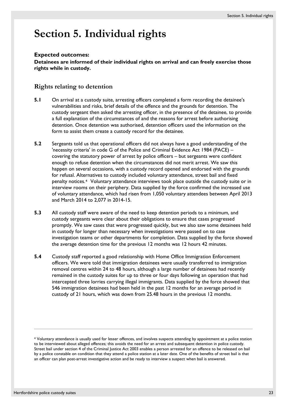# <span id="page-22-0"></span>**Section 5. Individual rights**

#### **Expected outcomes:**

**Detainees are informed of their individual rights on arrival and can freely exercise those rights while in custody.** 

#### **Rights relating to detention**

- **5.1** On arrival at a custody suite, arresting officers completed a form recording the detainee's vulnerabilities and risks, brief details of the offence and the grounds for detention. The custody sergeant then asked the arresting officer, in the presence of the detainee, to provide a full explanation of the circumstances of and the reasons for arrest before authorising detention. Once detention was authorised, detention officers used the information on the form to assist them create a custody record for the detainee.
- **5.2** Sergeants told us that operational officers did not always have a good understanding of the 'necessity criteria' in code G of the Police and Criminal Evidence Act 1984 (PACE) – covering the statutory power of arrest by police officers – but sergeants were confident enough to refuse detention when the circumstances did not merit arrest. We saw this happen on several occasions, with a custody record opened and endorsed with the grounds for refusal. Alternatives to custody included voluntary attendance, street bail and fixed penalty notices.[4](#page-22-1) Voluntary attendance interviews took place outside the custody suite or in interview rooms on their periphery. Data supplied by the force confirmed the increased use of voluntary attendance, which had risen from 1,050 voluntary attendees between April 2013 and March 2014 to 2,077 in 2014-15.
- **5.3** All custody staff were aware of the need to keep detention periods to a minimum, and custody sergeants were clear about their obligations to ensure that cases progressed promptly. We saw cases that were progressed quickly, but we also saw some detainees held in custody for longer than necessary when investigations were passed on to case investigation teams or other departments for completion. Data supplied by the force showed the average detention time for the previous 12 months was 12 hours 42 minutes.
- **5.4** Custody staff reported a good relationship with Home Office Immigration Enforcement officers. We were told that immigration detainees were usually transferred to immigration removal centres within 24 to 48 hours, although a large number of detainees had recently remained in the custody suites for up to three or four days following an operation that had intercepted three lorries carrying illegal immigrants. Data supplied by the force showed that 546 immigration detainees had been held in the past 12 months for an average period in custody of 21 hours, which was down from 25.48 hours in the previous 12 months.

 $\overline{a}$ 

<span id="page-22-1"></span><sup>4</sup> Voluntary attendance is usually used for lesser offences, and involves suspects attending by appointment at a police station to be interviewed about alleged offences; this avoids the need for an arrest and subsequent detention in police custody. Street bail under section 4 of the Criminal Justice Act 2003 enables a person arrested for an offence to be released on bail by a police constable on condition that they attend a police station at a later date. One of the benefits of street bail is that an officer can plan post-arrest investigative action and be ready to interview a suspect when bail is answered.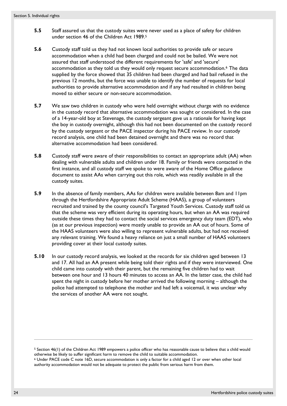- **5.5** Staff assured us that the custody suites were never used as a place of safety for children under section 46 of the Children Act 1989.<sup>[5](#page-23-1)</sup>
- **5.6** Custody staff told us they had not known local authorities to provide safe or secure accommodation when a child had been charged and could not be bailed. We were not assured that staff understood the different requirements for 'safe' and 'secure' accommodation as they told us they would only request secure accommodation.<sup>[6](#page-23-2)</sup> The data supplied by the force showed that 35 children had been charged and had bail refused in the previous 12 months, but the force was unable to identify the number of requests for local authorities to provide alternative accommodation and if any had resulted in children being moved to either secure or non-secure accommodation.
- **5.7** We saw two children in custody who were held overnight without charge with no evidence in the custody record that alternative accommodation was sought or considered. In the case of a 14-year-old boy at Stevenage, the custody sergeant gave us a rationale for having kept the boy in custody overnight, although this had not been documented on the custody record by the custody sergeant or the PACE inspector during his PACE review. In our custody record analysis, one child had been detained overnight and there was no record that alternative accommodation had been considered.
- **5.8** Custody staff were aware of their responsibilities to contact an appropriate adult (AA) when dealing with vulnerable adults and children under 18. Family or friends were contacted in the first instance, and all custody staff we spoke to were aware of the Home Office guidance document to assist AAs when carrying out this role, which was readily available in all the custody suites.
- **5.9** In the absence of family members, AAs for children were available between 8am and 11pm through the Hertfordshire Appropriate Adult Scheme (HAAS), a group of volunteers recruited and trained by the county council's Targeted Youth Services. Custody staff told us that the scheme was very efficient during its operating hours, but when an AA was required outside these times they had to contact the social services emergency duty team (EDT), who (as at our previous inspection) were mostly unable to provide an AA out of hours. Some of the HAAS volunteers were also willing to represent vulnerable adults, but had not received any relevant training. We found a heavy reliance on just a small number of HAAS volunteers providing cover at their local custody suites.
- <span id="page-23-0"></span>**5.10** In our custody record analysis, we looked at the records for six children aged between 13 and 17. All had an AA present while being told their rights and if they were interviewed. One child came into custody with their parent, but the remaining five children had to wait between one hour and 13 hours 40 minutes to access an AA. In the latter case, the child had spent the night in custody before her mother arrived the following morning – although the police had attempted to telephone the mother and had left a voicemail, it was unclear why the services of another AA were not sought.

 $\overline{a}$ 

<span id="page-23-1"></span><sup>5</sup> Section 46(1) of the Children Act 1989 empowers a police officer who has reasonable cause to believe that a child would otherwise be likely to suffer significant harm to remove the child to suitable accommodation.

<span id="page-23-2"></span><sup>6</sup> Under PACE code C note 16D, secure accommodation is only a factor for a child aged 12 or over when other local authority accommodation would not be adequate to protect the public from serious harm from them.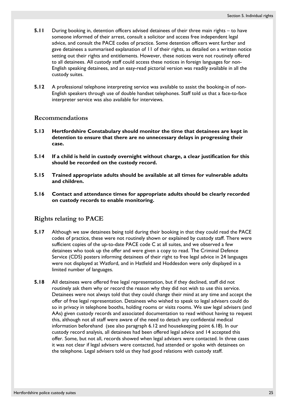- **5.11** During booking in, detention officers advised detainees of their three main rights to have someone informed of their arrest, consult a solicitor and access free independent legal advice, and consult the PACE codes of practice. Some detention officers went further and gave detainees a summarised explanation of 11 of their rights, as detailed on a written notice setting out their rights and entitlements. However, these notices were not routinely offered to all detainees. All custody staff could access these notices in foreign languages for non-English speaking detainees, and an easy-read pictorial version was readily available in all the custody suites.
- **5.12** A professional telephone interpreting service was available to assist the booking-in of non-English speakers through use of double handset telephones. Staff told us that a face-to-face interpreter service was also available for interviews.

### **Recommendations**

- <span id="page-24-1"></span>**5.13 Hertfordshire Constabulary should monitor the time that detainees are kept in detention to ensure that there are no unnecessary delays in progressing their case.**
- <span id="page-24-2"></span>**5.14 If a child is held in custody overnight without charge, a clear justification for this should be recorded on the custody record.**
- <span id="page-24-3"></span>**5.15 Trained appropriate adults should be available at all times for vulnerable adults and children.**
- <span id="page-24-4"></span>**5.16 Contact and attendance times for appropriate adults should be clearly recorded on custody records to enable monitoring.**

### **Rights relating to PACE**

- **5.17** Although we saw detainees being told during their booking in that they could read the PACE codes of practice, these were not routinely shown or explained by custody staff. There were sufficient copies of the up-to-date PACE code C at all suites, and we observed a few detainees who took up the offer and were given a copy to read. The Criminal Defence Service (CDS) posters informing detainees of their right to free legal advice in 24 languages were not displayed at Watford, and in Hatfield and Hoddesdon were only displayed in a limited number of languages.
- <span id="page-24-0"></span>**5.18** All detainees were offered free legal representation, but if they declined, staff did not routinely ask them why or record the reason why they did not wish to use this service. Detainees were not always told that they could change their mind at any time and accept the offer of free legal representation. Detainees who wished to speak to legal advisers could do so in privacy in telephone booths, holding rooms or visits rooms. We saw legal advisers (and AAs) given custody records and associated documentation to read without having to request this, although not all staff were aware of the need to detach any confidential medical information beforehand (see also paragraph [6.12](#page-29-0) and housekeeping point [6.18\)](#page-29-1). In our custody record analysis, all detainees had been offered legal advice and 14 accepted this offer. Some, but not all, records showed when legal advisers were contacted. In three cases it was not clear if legal advisers were contacted, had attended or spoke with detainees on the telephone. Legal advisers told us they had good relations with custody staff.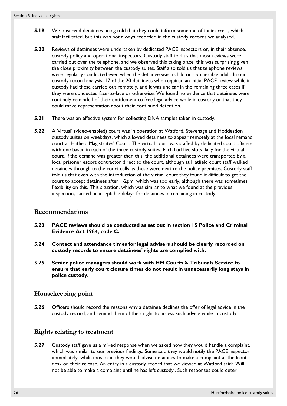- **5.19** We observed detainees being told that they could inform someone of their arrest, which staff facilitated, but this was not always recorded in the custody records we analysed.
- **5.20** Reviews of detainees were undertaken by dedicated PACE inspectors or, in their absence, custody policy and operational inspectors. Custody staff told us that most reviews were carried out over the telephone, and we observed this taking place; this was surprising given the close proximity between the custody suites. Staff also told us that telephone reviews were regularly conducted even when the detainee was a child or a vulnerable adult. In our custody record analysis, 17 of the 20 detainees who required an initial PACE review while in custody had these carried out remotely, and it was unclear in the remaining three cases if they were conducted face-to-face or otherwise. We found no evidence that detainees were routinely reminded of their entitlement to free legal advice while in custody or that they could make representation about their continued detention.
- **5.21** There was an effective system for collecting DNA samples taken in custody.
- **5.22** A 'virtual' (video-enabled) court was in operation at Watford, Stevenage and Hoddesdon custody suites on weekdays, which allowed detainees to appear remotely at the local remand court at Hatfield Magistrates' Court. The virtual court was staffed by dedicated court officers with one based in each of the three custody suites. Each had five slots daily for the virtual court. If the demand was greater then this, the additional detainees were transported by a local prisoner escort contractor direct to the court, although at Hatfield court staff walked detainees through to the court cells as these were next to the police premises. Custody staff told us that even with the introduction of the virtual court they found it difficult to get the court to accept detainees after 1-2pm, which was too early, although there was sometimes flexibility on this. This situation, which was similar to what we found at the previous inspection, caused unacceptable delays for detainees in remaining in custody.

### **Recommendations**

- <span id="page-25-0"></span>**5.23 PACE reviews should be conducted as set out in section 15 Police and Criminal Evidence Act 1984, code C.**
- <span id="page-25-1"></span>**5.24 Contact and attendance times for legal advisers should be clearly recorded on custody records to ensure detainees' rights are complied with.**
- <span id="page-25-2"></span>**5.25 Senior police managers should work with HM Courts & Tribunals Service to ensure that early court closure times do not result in unnecessarily long stays in police custody.**

### **Housekeeping point**

<span id="page-25-3"></span>**5.26** Officers should record the reasons why a detainee declines the offer of legal advice in the custody record, and remind them of their right to access such advice while in custody.

### **Rights relating to treatment**

**5.27** Custody staff gave us a mixed response when we asked how they would handle a complaint, which was similar to our previous findings. Some said they would notify the PACE inspector immediately, while most said they would advise detainees to make a complaint at the front desk on their release. An entry in a custody record that we viewed at Watford said: 'Will not be able to make a complaint until he has left custody'. Such responses could deter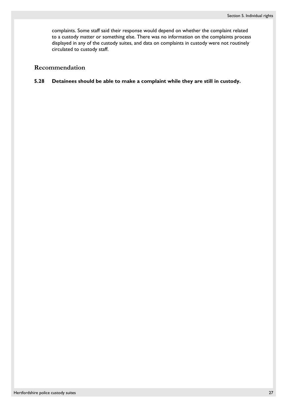complaints. Some staff said their response would depend on whether the complaint related to a custody matter or something else. There was no information on the complaints process displayed in any of the custody suites, and data on complaints in custody were not routinely circulated to custody staff.

### **Recommendation**

#### <span id="page-26-0"></span>**5.28 Detainees should be able to make a complaint while they are still in custody.**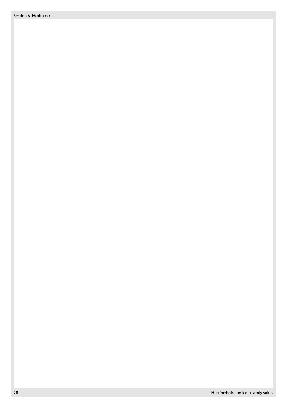Section 6. Health care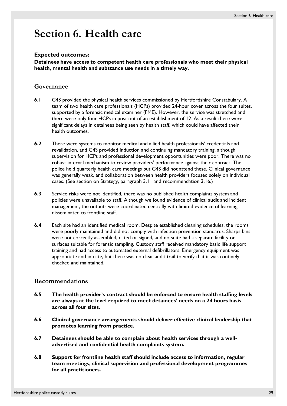# <span id="page-28-0"></span>**Section 6. Health care**

#### **Expected outcomes:**

**Detainees have access to competent health care professionals who meet their physical health, mental health and substance use needs in a timely way.** 

#### **Governance**

- **6.1** G4S provided the physical health services commissioned by Hertfordshire Constabulary. A team of two health care professionals (HCPs) provided 24-hour cover across the four suites, supported by a forensic medical examiner (FME). However, the service was stretched and there were only four HCPs in post out of an establishment of 12. As a result there were significant delays in detainees being seen by health staff, which could have affected their health outcomes.
- **6.2** There were systems to monitor medical and allied health professionals' credentials and revalidation, and G4S provided induction and continuing mandatory training, although supervision for HCPs and professional development opportunities were poor. There was no robust internal mechanism to review providers' performance against their contract. The police held quarterly health care meetings but G4S did not attend these. Clinical governance was generally weak, and collaboration between health providers focused solely on individual cases. (See section on Strategy, paragraph [3.11](#page-13-2) and recommendation [3.16.](#page-13-3))
- **6.3** Service risks were not identified, there was no published health complaints system and policies were unavailable to staff. Although we found evidence of clinical audit and incident management, the outputs were coordinated centrally with limited evidence of learning disseminated to frontline staff.
- **6.4** Each site had an identified medical room. Despite established cleaning schedules, the rooms were poorly maintained and did not comply with infection prevention standards. Sharps bins were not correctly assembled, dated or signed, and no suite had a separate facility or surfaces suitable for forensic sampling. Custody staff received mandatory basic life support training and had access to automated external defibrillators. Emergency equipment was appropriate and in date, but there was no clear audit trail to verify that it was routinely checked and maintained.

### **Recommendations**

- <span id="page-28-1"></span>**6.5 The health provider's contract should be enforced to ensure health staffing levels are always at the level required to meet detainees' needs on a 24 hours basis across all four sites.**
- <span id="page-28-2"></span>**6.6 Clinical governance arrangements should deliver effective clinical leadership that promotes learning from practice.**
- <span id="page-28-3"></span>**6.7 Detainees should be able to complain about health services through a welladvertised and confidential health complaints system.**
- <span id="page-28-4"></span>**6.8 Support for frontline health staff should include access to information, regular team meetings, clinical supervision and professional development programmes for all practitioners.**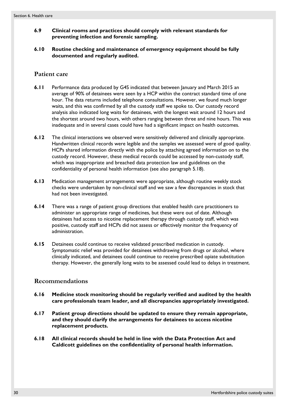- <span id="page-29-2"></span>**6.9 Clinical rooms and practices should comply with relevant standards for preventing infection and forensic sampling.**
- <span id="page-29-3"></span>**6.10 Routine checking and maintenance of emergency equipment should be fully documented and regularly audited.**

### **Patient care**

- **6.11** Performance data produced by G4S indicated that between January and March 2015 an average of 90% of detainees were seen by a HCP within the contract standard time of one hour. The data returns included telephone consultations. However, we found much longer waits, and this was confirmed by all the custody staff we spoke to. Our custody record analysis also indicated long waits for detainees, with the longest wait around 12 hours and the shortest around two hours, with others ranging between three and nine hours. This was inadequate and in several cases could have had a significant impact on health outcomes.
- <span id="page-29-0"></span>**6.12** The clinical interactions we observed were sensitively delivered and clinically appropriate. Handwritten clinical records were legible and the samples we assessed were of good quality. HCPs shared information directly with the police by attaching agreed information on to the custody record. However, these medical records could be accessed by non-custody staff, which was inappropriate and breached data protection law and guidelines on the confidentiality of personal health information (see also paragraph [5.18\)](#page-24-0).
- **6.13** Medication management arrangements were appropriate, although routine weekly stock checks were undertaken by non-clinical staff and we saw a few discrepancies in stock that had not been investigated.
- **6.14** There was a range of patient group directions that enabled health care practitioners to administer an appropriate range of medicines, but these were out of date. Although detainees had access to nicotine replacement therapy through custody staff, which was positive, custody staff and HCPs did not assess or effectively monitor the frequency of administration.
- **6.15** Detainees could continue to receive validated prescribed medication in custody. Symptomatic relief was provided for detainees withdrawing from drugs or alcohol, where clinically indicated, and detainees could continue to receive prescribed opiate substitution therapy. However, the generally long waits to be assessed could lead to delays in treatment.

### **Recommendations**

- <span id="page-29-4"></span>**6.16 Medicine stock monitoring should be regularly verified and audited by the health care professionals team leader, and all discrepancies appropriately investigated.**
- <span id="page-29-5"></span>**6.17 Patient group directions should be updated to ensure they remain appropriate, and they should clarify the arrangements for detainees to access nicotine replacement products.**
- <span id="page-29-1"></span>**6.18 All clinical records should be held in line with the Data Protection Act and Caldicott guidelines on the confidentiality of personal health information.**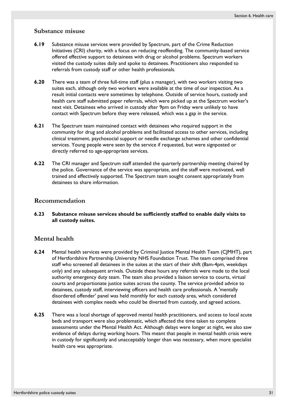#### **Substance misuse**

- **6.19** Substance misuse services were provided by Spectrum, part of the Crime Reduction Initiatives (CRI) charity, with a focus on reducing reoffending. The community-based service offered effective support to detainees with drug or alcohol problems. Spectrum workers visited the custody suites daily and spoke to detainees. Practitioners also responded to referrals from custody staff or other health professionals.
- **6.20** There was a team of three full-time staff (plus a manager), with two workers visiting two suites each, although only two workers were available at the time of our inspection. As a result initial contacts were sometimes by telephone. Outside of service hours, custody and health care staff submitted paper referrals, which were picked up at the Spectrum worker's next visit. Detainees who arrived in custody after 9pm on Friday were unlikely to have contact with Spectrum before they were released, which was a gap in the service.
- **6.21** The Spectrum team maintained contact with detainees who required support in the community for drug and alcohol problems and facilitated access to other services, including clinical treatment, psychosocial support or needle exchange schemes and other confidential services. Young people were seen by the service if requested, but were signposted or directly referred to age-appropriate services.
- **6.22** The CRI manager and Spectrum staff attended the quarterly partnership meeting chaired by the police. Governance of the service was appropriate, and the staff were motivated, well trained and effectively supported. The Spectrum team sought consent appropriately from detainees to share information.

#### **Recommendation**

<span id="page-30-0"></span>**6.23 Substance misuse services should be sufficiently staffed to enable daily visits to all custody suites.** 

### **Mental health**

- **6.24** Mental health services were provided by Criminal Justice Mental Health Team (CJMHT), part of Hertfordshire Partnership University NHS Foundation Trust. The team comprised three staff who screened all detainees in the suites at the start of their shift (8am-4pm, weekdays only) and any subsequent arrivals. Outside these hours any referrals were made to the local authority emergency duty team. The team also provided a liaison service to courts, virtual courts and proportionate justice suites across the county. The service provided advice to detainees, custody staff, interviewing officers and health care professionals. A 'mentally disordered offender' panel was held monthly for each custody area, which considered detainees with complex needs who could be diverted from custody, and agreed actions.
- **6.25** There was a local shortage of approved mental health practitioners, and access to local acute beds and transport were also problematic, which affected the time taken to complete assessments under the Mental Health Act. Although delays were longer at night, we also saw evidence of delays during working hours. This meant that people in mental health crisis were in custody for significantly and unacceptably longer than was necessary, when more specialist health care was appropriate.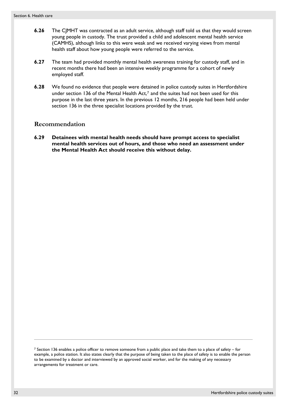- **6.26** The CJMHT was contracted as an adult service, although staff told us that they would screen young people in custody. The trust provided a child and adolescent mental health service (CAMHS), although links to this were weak and we received varying views from mental health staff about how young people were referred to the service.
- **6.27** The team had provided monthly mental health awareness training for custody staff, and in recent months there had been an intensive weekly programme for a cohort of newly employed staff.
- **6.28** We found no evidence that people were detained in police custody suites in Hertfordshire under section 136 of the Mental Health Act,<sup>[7](#page-31-0)</sup> and the suites had not been used for this purpose in the last three years. In the previous 12 months, 216 people had been held under section 136 in the three specialist locations provided by the trust.

### **Recommendation**

<span id="page-31-1"></span>**6.29 Detainees with mental health needs should have prompt access to specialist mental health services out of hours, and those who need an assessment under the Mental Health Act should receive this without delay.** 

 $\overline{a}$ 

<span id="page-31-0"></span><sup>7</sup> Section 136 enables a police officer to remove someone from a public place and take them to a place of safety – for example, a police station. It also states clearly that the purpose of being taken to the place of safety is to enable the person to be examined by a doctor and interviewed by an approved social worker, and for the making of any necessary arrangements for treatment or care.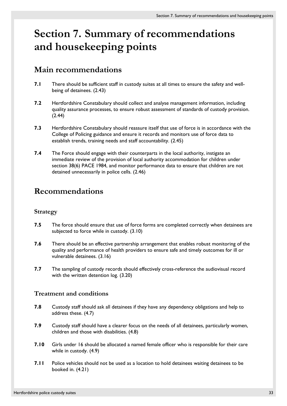# <span id="page-32-0"></span>**Section 7. Summary of recommendations and housekeeping points**

# **Main recommendations**

- **7.1** There should be sufficient staff in custody suites at all times to ensure the safety and wellbeing of detainees. ([2.43\)](#page-10-2)
- **7.2** Hertfordshire Constabulary should collect and analyse management information, including quality assurance processes, to ensure robust assessment of standards of custody provision. [\(2.44](#page-10-1))
- **7.3** Hertfordshire Constabulary should reassure itself that use of force is in accordance with the College of Policing guidance and ensure it records and monitors use of force data to establish trends, training needs and staff accountability. [\(2.45\)](#page-11-1)
- **7.4** The Force should engage with their counterparts in the local authority, instigate an immediate review of the provision of local authority accommodation for children under section 38(6) PACE 1984, and monitor performance data to ensure that children are not detained unnecessarily in police cells. ([2.46\)](#page-11-0)

# **Recommendations**

#### **Strategy**

- **7.5** The force should ensure that use of force forms are completed correctly when detainees are subjected to force while in custody. [\(3.10](#page-13-1))
- **7.6** There should be an effective partnership arrangement that enables robust monitoring of the quality and performance of health providers to ensure safe and timely outcomes for ill or vulnerable detainees. [\(3.16](#page-13-3))
- **7.7** The sampling of custody records should effectively cross-reference the audiovisual record with the written detention log. ([3.20\)](#page-14-0)

### **Treatment and conditions**

- **7.8** Custody staff should ask all detainees if they have any dependency obligations and help to address these. ([4.7](#page-16-1))
- **7.9** Custody staff should have a clearer focus on the needs of all detainees, particularly women, children and those with disabilities. [\(4.8](#page-17-0))
- **7.10** Girls under 16 should be allocated a named female officer who is responsible for their care while in custody. ([4.9](#page-17-1))
- **7.11** Police vehicles should not be used as a location to hold detainees waiting detainees to be booked in. ([4.21](#page-18-0))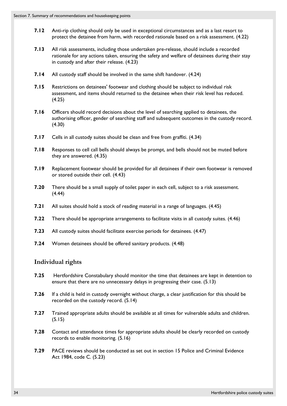- **7.12** Anti-rip clothing should only be used in exceptional circumstances and as a last resort to protect the detainee from harm, with recorded rationale based on a risk assessment. [\(4.22](#page-18-1))
- **7.13** All risk assessments, including those undertaken pre-release, should include a recorded rationale for any actions taken, ensuring the safety and welfare of detainees during their stay in custody and after their release. ([4.23\)](#page-19-1)
- **7.14** All custody staff should be involved in the same shift handover. ([4.24\)](#page-19-2)
- **7.15** Restrictions on detainees' footwear and clothing should be subject to individual risk assessment, and items should returned to the detainee when their risk level has reduced. [\(4.25](#page-19-3))
- **7.16** Officers should record decisions about the level of searching applied to detainees, the authorising officer, gender of searching staff and subsequent outcomes in the custody record. [\(4.30](#page-19-4))
- **7.17** Cells in all custody suites should be clean and free from graffiti. ([4.34\)](#page-20-0)
- **7.18** Responses to cell call bells should always be prompt, and bells should not be muted before they are answered. [\(4.35](#page-20-1))
- **7.19** Replacement footwear should be provided for all detainees if their own footwear is removed or stored outside their cell. [\(4.43](#page-21-0))
- **7.20** There should be a small supply of toilet paper in each cell, subject to a risk assessment. [\(4.44](#page-21-1))
- **7.21** All suites should hold a stock of reading material in a range of languages. ([4.45\)](#page-21-2)
- **7.22** There should be appropriate arrangements to facilitate visits in all custody suites. ([4.46\)](#page-21-3)
- **7.23** All custody suites should facilitate exercise periods for detainees. [\(4.47](#page-21-4))
- **7.24** Women detainees should be offered sanitary products. [\(4.48](#page-21-5))

### **Individual rights**

- **7.25** Hertfordshire Constabulary should monitor the time that detainees are kept in detention to ensure that there are no unnecessary delays in progressing their case. ([5.13](#page-24-1))
- **7.26** If a child is held in custody overnight without charge, a clear justification for this should be recorded on the custody record. [\(5.14](#page-24-2))
- **7.27** Trained appropriate adults should be available at all times for vulnerable adults and children. [\(5.15](#page-24-3))
- **7.28** Contact and attendance times for appropriate adults should be clearly recorded on custody records to enable monitoring. [\(5.16](#page-24-4))
- **7.29** PACE reviews should be conducted as set out in section 15 Police and Criminal Evidence Act 1984, code C. ([5.23\)](#page-25-0)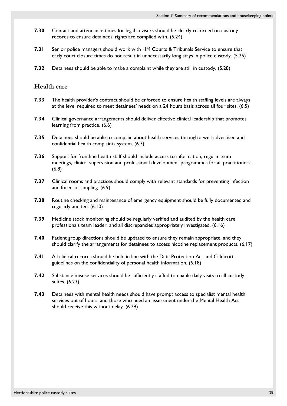- **7.30** Contact and attendance times for legal advisers should be clearly recorded on custody records to ensure detainees' rights are complied with. ([5.24\)](#page-25-1)
- **7.31** Senior police managers should work with HM Courts & Tribunals Service to ensure that early court closure times do not result in unnecessarily long stays in police custody. ([5.25\)](#page-25-2)
- **7.32** Detainees should be able to make a complaint while they are still in custody. ([5.28](#page-26-0))

#### **Health care**

- **7.33** The health provider's contract should be enforced to ensure health staffing levels are always at the level required to meet detainees' needs on a 24 hours basis across all four sites. ([6.5](#page-28-1))
- **7.34** Clinical governance arrangements should deliver effective clinical leadership that promotes learning from practice. ([6.6](#page-28-2))
- **7.35** Detainees should be able to complain about health services through a well-advertised and confidential health complaints system. ([6.7\)](#page-28-3)
- **7.36** Support for frontline health staff should include access to information, regular team meetings, clinical supervision and professional development programmes for all practitioners. [\(6.8\)](#page-28-4)
- **7.37** Clinical rooms and practices should comply with relevant standards for preventing infection and forensic sampling. ([6.9](#page-29-2))
- **7.38** Routine checking and maintenance of emergency equipment should be fully documented and regularly audited. [\(6.10\)](#page-29-3)
- **7.39** Medicine stock monitoring should be regularly verified and audited by the health care professionals team leader, and all discrepancies appropriately investigated. ([6.16\)](#page-29-4)
- **7.40** Patient group directions should be updated to ensure they remain appropriate, and they should clarify the arrangements for detainees to access nicotine replacement products. [\(6.17](#page-29-5))
- **7.41** All clinical records should be held in line with the Data Protection Act and Caldicott guidelines on the confidentiality of personal health information. [\(6.18](#page-29-1))
- **7.42** Substance misuse services should be sufficiently staffed to enable daily visits to all custody suites. [\(6.23\)](#page-30-0)
- **7.43** Detainees with mental health needs should have prompt access to specialist mental health services out of hours, and those who need an assessment under the Mental Health Act should receive this without delay. ([6.29\)](#page-31-1)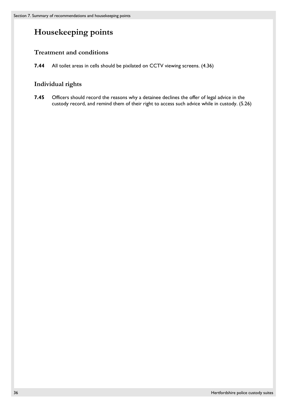# **Housekeeping points**

### **Treatment and conditions**

**7.44** All toilet areas in cells should be pixilated on CCTV viewing screens. ([4.36\)](#page-20-2)

### **Individual rights**

**7.45** Officers should record the reasons why a detainee declines the offer of legal advice in the custody record, and remind them of their right to access such advice while in custody. ([5.26\)](#page-25-3)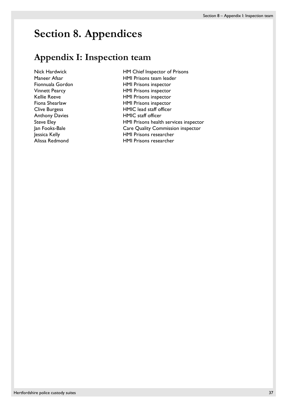# <span id="page-36-0"></span>**Section 8. Appendices**

# <span id="page-36-1"></span>**Appendix I: Inspection team**

Nick Hardwick **HM** Chief Inspector of Prisons Maneer Afsar **HMI Prisons team leader** Fionnuala Gordon HMI Prisons inspector Vinnett Pearcy HMI Prisons inspector Kellie Reeve **HMI Prisons** inspector Fiona Shearlaw HMI Prisons inspector Clive Burgess HMIC lead staff officer Anthony Davies **HMIC** staff officer Steve Eley HMI Prisons health services inspector Jan Fooks-Bale Care Quality Commission inspector Jessica Kelly HMI Prisons researcher Alissa Redmond HMI Prisons researcher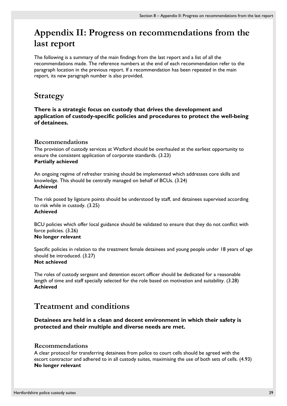# <span id="page-38-0"></span>**Appendix II: Progress on recommendations from the last report**

The following is a summary of the main findings from the last report and a list of all the recommendations made. The reference numbers at the end of each recommendation refer to the paragraph location in the previous report. If a recommendation has been repeated in the main report, its new paragraph number is also provided.

# **Strategy**

**There is a strategic focus on custody that drives the development and application of custody-specific policies and procedures to protect the well-being of detainees.** 

#### **Recommendations**

The provision of custody services at Watford should be overhauled at the earliest opportunity to ensure the consistent application of corporate standards. (3.23) **Partially achieved** 

An ongoing regime of refresher training should be implemented which addresses core skills and knowledge. This should be centrally managed on behalf of BCUs. (3.24) **Achieved** 

The risk posed by ligature points should be understood by staff, and detainees supervised according to risk while in custody. (3.25) **Achieved** 

BCU policies which offer local guidance should be validated to ensure that they do not conflict with force policies. (3.26) **No longer relevant** 

Specific policies in relation to the treatment female detainees and young people under 18 years of age should be introduced. (3.27) **Not achieved** 

The roles of custody sergeant and detention escort officer should be dedicated for a reasonable length of time and staff specially selected for the role based on motivation and suitability. (3.28) **Achieved** 

# **Treatment and conditions**

**Detainees are held in a clean and decent environment in which their safety is protected and their multiple and diverse needs are met.** 

#### **Recommendations**

A clear protocol for transferring detainees from police to court cells should be agreed with the escort contractor and adhered to in all custody suites, maximising the use of both sets of cells. (4.93) **No longer relevant**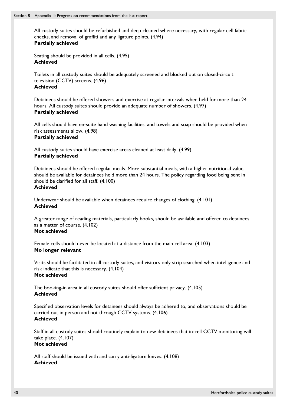All custody suites should be refurbished and deep cleaned where necessary, with regular cell fabric checks, and removal of graffiti and any ligature points. (4.94) **Partially achieved** 

Seating should be provided in all cells. (4.95) **Achieved** 

Toilets in all custody suites should be adequately screened and blocked out on closed-circuit television (CCTV) screens. (4.96)

### **Achieved**

Detainees should be offered showers and exercise at regular intervals when held for more than 24 hours. All custody suites should provide an adequate number of showers. (4.97) **Partially achieved** 

All cells should have en-suite hand washing facilities, and towels and soap should be provided when risk assessments allow. (4.98)

### **Partially achieved**

All custody suites should have exercise areas cleaned at least daily. (4.99) **Partially achieved** 

Detainees should be offered regular meals. More substantial meals, with a higher nutritional value, should be available for detainees held more than 24 hours. The policy regarding food being sent in should be clarified for all staff. (4.100) **Achieved** 

Underwear should be available when detainees require changes of clothing. (4.101) **Achieved** 

A greater range of reading materials, particularly books, should be available and offered to detainees as a matter of course. (4.102) **Not achieved** 

Female cells should never be located at a distance from the main cell area. (4.103) **No longer relevant** 

Visits should be facilitated in all custody suites, and visitors only strip searched when intelligence and risk indicate that this is necessary. (4.104) **Not achieved** 

The booking-in area in all custody suites should offer sufficient privacy. (4.105) **Achieved** 

Specified observation levels for detainees should always be adhered to, and observations should be carried out in person and not through CCTV systems. (4.106) **Achieved** 

Staff in all custody suites should routinely explain to new detainees that in-cell CCTV monitoring will take place. (4.107) **Not achieved** 

All staff should be issued with and carry anti-ligature knives. (4.108) **Achieved**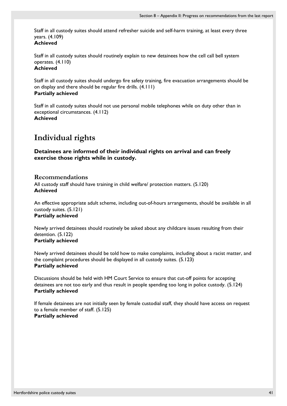Staff in all custody suites should attend refresher suicide and self-harm training, at least every three years. (4.109)

**Achieved** 

Staff in all custody suites should routinely explain to new detainees how the cell call bell system operates. (4.110)

#### **Achieved**

Staff in all custody suites should undergo fire safety training, fire evacuation arrangements should be on display and there should be regular fire drills. (4.111) **Partially achieved** 

Staff in all custody suites should not use personal mobile telephones while on duty other than in exceptional circumstances. (4.112) **Achieved** 

# **Individual rights**

**Detainees are informed of their individual rights on arrival and can freely exercise those rights while in custody.** 

#### **Recommendations**

All custody staff should have training in child welfare/ protection matters. (5.120) **Achieved** 

An effective appropriate adult scheme, including out-of-hours arrangements, should be available in all custody suites. (5.121) **Partially achieved** 

Newly arrived detainees should routinely be asked about any childcare issues resulting from their detention. (5.122) **Partially achieved** 

Newly arrived detainees should be told how to make complaints, including about a racist matter, and the complaint procedures should be displayed in all custody suites. (5.123) **Partially achieved** 

Discussions should be held with HM Court Service to ensure that cut-off points for accepting detainees are not too early and thus result in people spending too long in police custody. (5.124) **Partially achieved** 

If female detainees are not initially seen by female custodial staff, they should have access on request to a female member of staff. (5.125) **Partially achieved**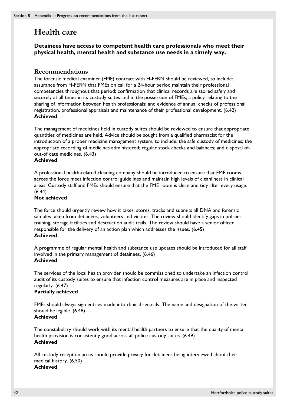# **Health care**

**Detainees have access to competent health care professionals who meet their physical health, mental health and substance use needs in a timely way.** 

### **Recommendations**

The forensic medical examiner (FME) contract with H-FERN should be reviewed, to include: assurance from H-FERN that FMEs on call for a 24-hour period maintain their professional competencies throughout that period; confirmation that clinical records are stored safely and securely at all times in its custody suites and in the possession of FMEs; a policy relating to the sharing of information between health professionals; and evidence of annual checks of professional registration, professional appraisals and maintenance of their professional development. (6.42) **Achieved** 

The management of medicines held in custody suites should be reviewed to ensure that appropriate quantities of medicines are held. Advice should be sought from a qualified pharmacist for the introduction of a proper medicine management system, to include: the safe custody of medicines; the appropriate recording of medicines administered; regular stock checks and balances; and disposal ofout-of date medicines. (6.43)

### **Achieved**

A professional health-related cleaning company should be introduced to ensure that FME rooms across the force meet infection control guidelines and maintain high levels of cleanliness in clinical areas. Custody staff and FMEs should ensure that the FME room is clean and tidy after every usage. (6.44)

### **Not achieved**

The force should urgently review how it takes, stores, tracks and submits all DNA and forensic samples taken from detainees, volunteers and victims. The review should identify gaps in policies, training, storage facilities and destruction audit trails. The review should have a senior officer responsible for the delivery of an action plan which addresses the issues. (6.45) **Achieved** 

A programme of regular mental health and substance use updates should be introduced for all staff involved in the primary management of detainees. (6.46) **Achieved** 

The services of the local health provider should be commissioned to undertake an infection control audit of its custody suites to ensure that infection control measures are in place and inspected regularly. (6.47)

### **Partially achieved**

FMEs should always sign entries made into clinical records. The name and designation of the writer should be legible. (6.48)

### **Achieved**

The constabulary should work with its mental health partners to ensure that the quality of mental health provision is consistently good across all police custody suites. (6.49) **Achieved** 

All custody reception areas should provide privacy for detainees being interviewed about their medical history. (6.50) **Achieved**